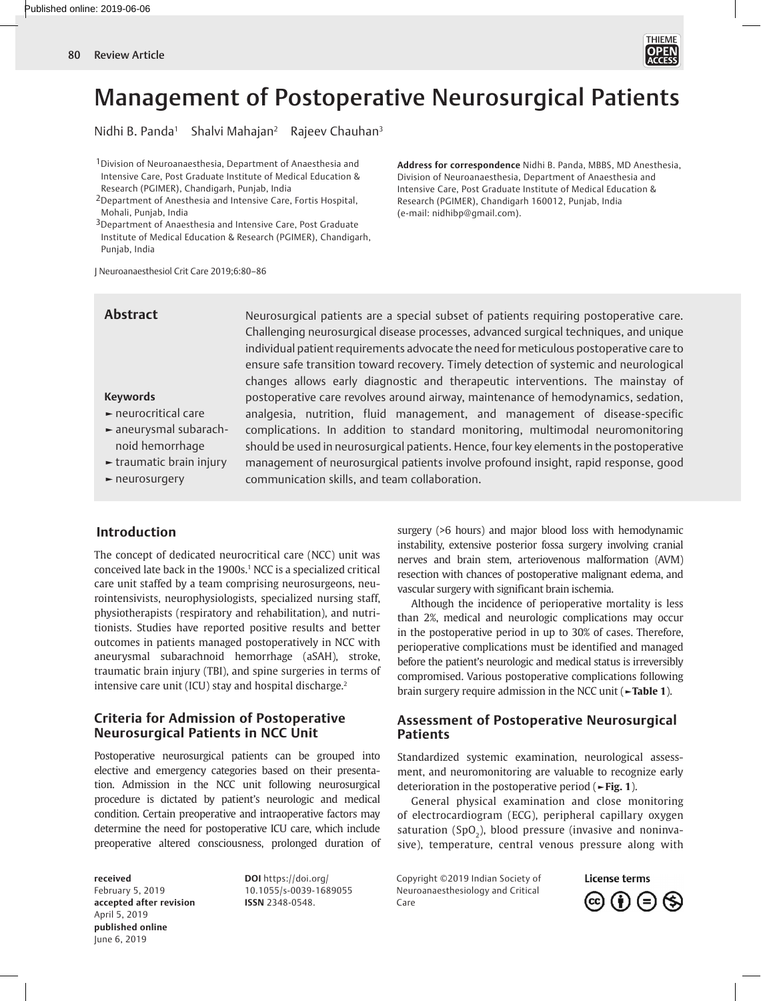

# Management of Postoperative Neurosurgical Patients

Nidhi B. Panda<sup>1</sup> Shalvi Mahajan<sup>2</sup> Rajeev Chauhan<sup>3</sup>

1Division of Neuroanaesthesia, Department of Anaesthesia and Intensive Care, Post Graduate Institute of Medical Education & Research (PGIMER), Chandigarh, Punjab, India

2Department of Anesthesia and Intensive Care, Fortis Hospital, Mohali, Punjab, India

3Department of Anaesthesia and Intensive Care, Post Graduate Institute of Medical Education & Research (PGIMER), Chandigarh, Punjab, India

J Neuroanaesthesiol Crit Care 2019;6:80–86

## **Abstract**

Neurosurgical patients are a special subset of patients requiring postoperative care. Challenging neurosurgical disease processes, advanced surgical techniques, and unique individual patient requirements advocate the need for meticulous postoperative care to ensure safe transition toward recovery. Timely detection of systemic and neurological changes allows early diagnostic and therapeutic interventions. The mainstay of postoperative care revolves around airway, maintenance of hemodynamics, sedation, analgesia, nutrition, fluid management, and management of disease-specific complications. In addition to standard monitoring, multimodal neuromonitoring should be used in neurosurgical patients. Hence, four key elements in the postoperative management of neurosurgical patients involve profound insight, rapid response, good communication skills, and team collaboration.

(e-mail: nidhibp@gmail.com).

## **Keywords**

- **►** neurocritical care
- **►** aneurysmal subarachnoid hemorrhage
- **►** traumatic brain injury

## **►** neurosurgery

# **Introduction**

<span id="page-0-1"></span>The concept of dedicated neurocritical care (NCC) unit was conceived late back in the 1900s.<sup>1</sup> NCC is a specialized critical care unit staffed by a team comprising neurosurgeons, neurointensivists, neurophysiologists, specialized nursing staff, physiotherapists (respiratory and rehabilitation), and nutritionists. Studies have reported positive results and better outcomes in patients managed postoperatively in NCC with aneurysmal subarachnoid hemorrhage (aSAH), stroke, traumatic brain injury (TBI), and spine surgeries in terms of intensive care unit (ICU) stay and hospital discharge.<sup>2</sup>

## <span id="page-0-2"></span>**Criteria for Admission of Postoperative Neurosurgical Patients in NCC Unit**

Postoperative neurosurgical patients can be grouped into elective and emergency categories based on their presentation. Admission in the NCC unit following neurosurgical procedure is dictated by patient's neurologic and medical condition. Certain preoperative and intraoperative factors may determine the need for postoperative ICU care, which include preoperative altered consciousness, prolonged duration of

**received** February 5, 2019 **accepted after revision** April 5, 2019 **published online** June 6, 2019

**DOI** https://doi.org/ 10.1055/s-0039-1689055 **ISSN** 2348-0548.

surgery (>6 hours) and major blood loss with hemodynamic instability, extensive posterior fossa surgery involving cranial nerves and brain stem, arteriovenous malformation (AVM) resection with chances of postoperative malignant edema, and vascular surgery with significant brain ischemia.

**Address for correspondence** Nidhi B. Panda, MBBS, MD Anesthesia, Division of Neuroanaesthesia, Department of Anaesthesia and Intensive Care, Post Graduate Institute of Medical Education & Research (PGIMER), Chandigarh 160012, Punjab, India

Although the incidence of perioperative mortality is less than 2%, medical and neurologic complications may occur in the postoperative period in up to 30% of cases. Therefore, perioperative complications must be identified and managed before the patient's neurologic and medical status is irreversibly compromised. Various postoperative complications following brain surgery require admission in the NCC unit (**[►Table 1](#page-1-0)**).

## **Assessment of Postoperative Neurosurgical Patients**

Standardized systemic examination, neurological assessment, and neuromonitoring are valuable to recognize early deterioration in the postoperative period (**[►Fig. 1](#page-1-1)**).

General physical examination and close monitoring of electrocardiogram (ECG), peripheral capillary oxygen saturation (SpO<sub>2</sub>), blood pressure (invasive and noninvasive), temperature, central venous pressure along with

Copyright ©2019 Indian Society of Neuroanaesthesiology and Critical Care

<span id="page-0-0"></span>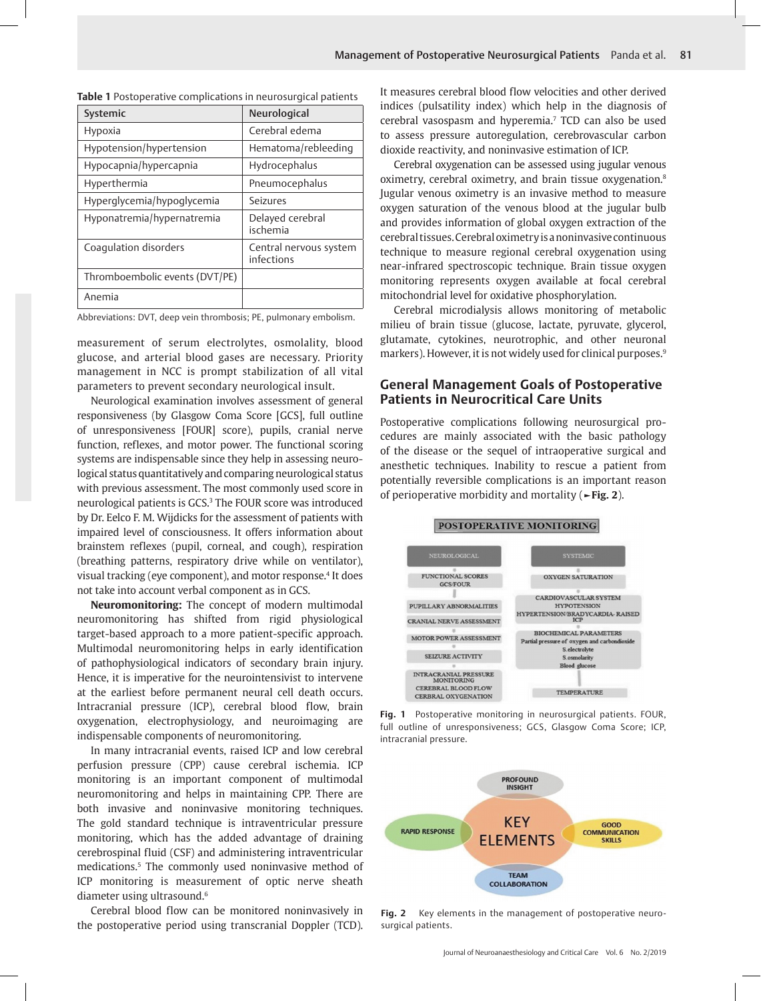| Systemic                       | Neurological                         |
|--------------------------------|--------------------------------------|
| Hypoxia                        | Cerebral edema                       |
| Hypotension/hypertension       | Hematoma/rebleeding                  |
| Hypocapnia/hypercapnia         | Hydrocephalus                        |
| Hyperthermia                   | Pneumocephalus                       |
| Hyperglycemia/hypoglycemia     | Seizures                             |
| Hyponatremia/hypernatremia     | Delayed cerebral<br>ischemia         |
| Coagulation disorders          | Central nervous system<br>infections |
| Thromboembolic events (DVT/PE) |                                      |
| Anemia                         |                                      |

<span id="page-1-0"></span>

|  |  | Table 1 Postoperative complications in neurosurgical patients |
|--|--|---------------------------------------------------------------|
|--|--|---------------------------------------------------------------|

Abbreviations: DVT, deep vein thrombosis; PE, pulmonary embolism.

measurement of serum electrolytes, osmolality, blood glucose, and arterial blood gases are necessary. Priority management in NCC is prompt stabilization of all vital parameters to prevent secondary neurological insult.

<span id="page-1-4"></span>Neurological examination involves assessment of general responsiveness (by Glasgow Coma Score [GCS], full outline of unresponsiveness [FOUR] score), pupils, cranial nerve function, reflexes, and motor power. The functional scoring systems are indispensable since they help in assessing neurological status quantitatively and comparing neurological status with previous assessment. The most commonly used score in neurological patients is GCS.<sup>[3](#page-6-2)</sup> The FOUR score was introduced by Dr. Eelco F. M. Wijdicks for the assessment of patients with impaired level of consciousness. It offers information about brainstem reflexes (pupil, corneal, and cough), respiration (breathing patterns, respiratory drive while on ventilator), visual tracking (eye component), and motor response[.4](#page-6-3) It does not take into account verbal component as in GCS.

<span id="page-1-5"></span>**Neuromonitoring:** The concept of modern multimodal neuromonitoring has shifted from rigid physiological target-based approach to a more patient-specific approach. Multimodal neuromonitoring helps in early identification of pathophysiological indicators of secondary brain injury. Hence, it is imperative for the neurointensivist to intervene at the earliest before permanent neural cell death occurs. Intracranial pressure (ICP), cerebral blood flow, brain oxygenation, electrophysiology, and neuroimaging are indispensable components of neuromonitoring.

In many intracranial events, raised ICP and low cerebral perfusion pressure (CPP) cause cerebral ischemia. ICP monitoring is an important component of multimodal neuromonitoring and helps in maintaining CPP. There are both invasive and noninvasive monitoring techniques. The gold standard technique is intraventricular pressure monitoring, which has the added advantage of draining cerebrospinal fluid (CSF) and administering intraventricular medications.5 The commonly used noninvasive method of ICP monitoring is measurement of optic nerve sheath diameter using ultrasound.<sup>[6](#page-6-4)</sup>

<span id="page-1-6"></span>Cerebral blood flow can be monitored noninvasively in the postoperative period using transcranial Doppler (TCD).

<span id="page-1-7"></span>It measures cerebral blood flow velocities and other derived indices (pulsatility index) which help in the diagnosis of cerebral vasospasm and hyperemia[.7](#page-6-5) TCD can also be used to assess pressure autoregulation, cerebrovascular carbon dioxide reactivity, and noninvasive estimation of ICP.

<span id="page-1-8"></span>Cerebral oxygenation can be assessed using jugular venous oximetry, cerebral oximetry, and brain tissue oxygenation.[8](#page-6-6) Jugular venous oximetry is an invasive method to measure oxygen saturation of the venous blood at the jugular bulb and provides information of global oxygen extraction of the cerebral tissues. Cerebral oximetry is a noninvasive continuous technique to measure regional cerebral oxygenation using near-infrared spectroscopic technique. Brain tissue oxygen monitoring represents oxygen available at focal cerebral mitochondrial level for oxidative phosphorylation.

Cerebral microdialysis allows monitoring of metabolic milieu of brain tissue (glucose, lactate, pyruvate, glycerol, glutamate, cytokines, neurotrophic, and other neuronal markers). However, it is not widely used for clinical purposes.<sup>[9](#page-6-7)</sup>

## <span id="page-1-9"></span>**General Management Goals of Postoperative Patients in Neurocritical Care Units**

Postoperative complications following neurosurgical procedures are mainly associated with the basic pathology of the disease or the sequel of intraoperative surgical and anesthetic techniques. Inability to rescue a patient from potentially reversible complications is an important reason of perioperative morbidity and mortality (**[►Fig. 2](#page-1-2)**).

<span id="page-1-3"></span>

#### POSTOPERATIVE MONITORING

<span id="page-1-2"></span>**Fig. 1** [Postoperative monitoring in neurosurgical patients. FOUR,](#page-1-3) [full outline of unresponsiveness; GCS, Glasgow Coma Score; ICP,](#page-1-3) [intracranial pressure.](#page-1-3)



<span id="page-1-1"></span>**Fig. 2** [Key elements in the management of postoperative neuro](#page-0-0)[surgical patients.](#page-0-0)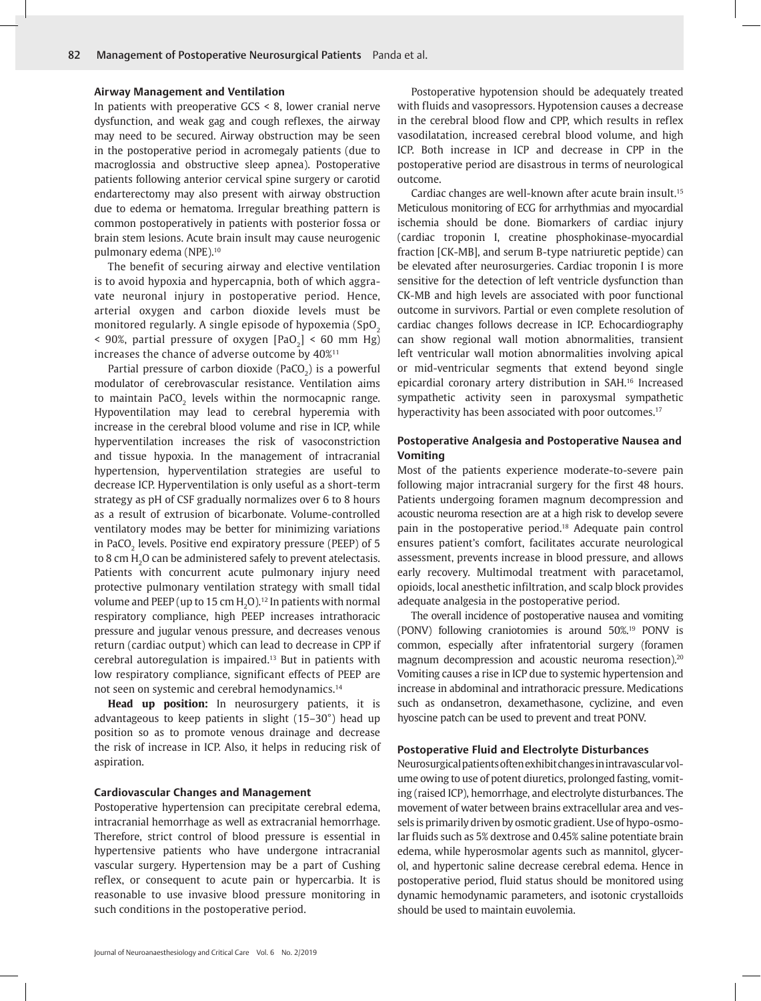#### **Airway Management and Ventilation**

In patients with preoperative GCS < 8, lower cranial nerve dysfunction, and weak gag and cough reflexes, the airway may need to be secured. Airway obstruction may be seen in the postoperative period in acromegaly patients (due to macroglossia and obstructive sleep apnea). Postoperative patients following anterior cervical spine surgery or carotid endarterectomy may also present with airway obstruction due to edema or hematoma. Irregular breathing pattern is common postoperatively in patients with posterior fossa or brain stem lesions. Acute brain insult may cause neurogenic pulmonary edema (NPE)[.10](#page-6-8)

<span id="page-2-0"></span>The benefit of securing airway and elective ventilation is to avoid hypoxia and hypercapnia, both of which aggravate neuronal injury in postoperative period. Hence, arterial oxygen and carbon dioxide levels must be monitored regularly. A single episode of hypoxemia (SpO<sub>2</sub>)  $\leq$  90%, partial pressure of oxygen [PaO<sub>2</sub>]  $\leq$  60 mm Hg) increases the chance of adverse outcome by 40%[11](#page-6-9)

<span id="page-2-1"></span>Partial pressure of carbon dioxide (PaCO $_2$ ) is a powerful modulator of cerebrovascular resistance. Ventilation aims to maintain PaCO $_2$  levels within the normocapnic range. Hypoventilation may lead to cerebral hyperemia with increase in the cerebral blood volume and rise in ICP, while hyperventilation increases the risk of vasoconstriction and tissue hypoxia. In the management of intracranial hypertension, hyperventilation strategies are useful to decrease ICP. Hyperventilation is only useful as a short-term strategy as pH of CSF gradually normalizes over 6 to 8 hours as a result of extrusion of bicarbonate. Volume-controlled ventilatory modes may be better for minimizing variations in PaCO $_2$  levels. Positive end expiratory pressure (PEEP) of 5  $\,$ to 8 cm  $\rm H_2$ O can be administered safely to prevent atelectasis. Patients with concurrent acute pulmonary injury need protective pulmonary ventilation strategy with small tidal volume and PEEP (up to 15 cm  $\text{H}_{2}$ O).<sup>12</sup> In patients with normal respiratory compliance, high PEEP increases intrathoracic pressure and jugular venous pressure, and decreases venous return (cardiac output) which can lead to decrease in CPP if cerebral autoregulation is impaired[.13](#page-6-11) But in patients with low respiratory compliance, significant effects of PEEP are not seen on systemic and cerebral hemodynamics[.14](#page-6-12)

<span id="page-2-4"></span><span id="page-2-3"></span>**Head up position:** In neurosurgery patients, it is advantageous to keep patients in slight (15–30°) head up position so as to promote venous drainage and decrease the risk of increase in ICP. Also, it helps in reducing risk of aspiration.

#### **Cardiovascular Changes and Management**

Postoperative hypertension can precipitate cerebral edema, intracranial hemorrhage as well as extracranial hemorrhage. Therefore, strict control of blood pressure is essential in hypertensive patients who have undergone intracranial vascular surgery. Hypertension may be a part of Cushing reflex, or consequent to acute pain or hypercarbia. It is reasonable to use invasive blood pressure monitoring in such conditions in the postoperative period.

Postoperative hypotension should be adequately treated with fluids and vasopressors. Hypotension causes a decrease in the cerebral blood flow and CPP, which results in reflex vasodilatation, increased cerebral blood volume, and high ICP. Both increase in ICP and decrease in CPP in the postoperative period are disastrous in terms of neurological outcome.

<span id="page-2-5"></span>Cardiac changes are well-known after acute brain insult.[15](#page-6-13) Meticulous monitoring of ECG for arrhythmias and myocardial ischemia should be done. Biomarkers of cardiac injury (cardiac troponin I, creatine phosphokinase-myocardial fraction [CK-MB], and serum B-type natriuretic peptide) can be elevated after neurosurgeries. Cardiac troponin I is more sensitive for the detection of left ventricle dysfunction than CK-MB and high levels are associated with poor functional outcome in survivors. Partial or even complete resolution of cardiac changes follows decrease in ICP. Echocardiography can show regional wall motion abnormalities, transient left ventricular wall motion abnormalities involving apical or mid-ventricular segments that extend beyond single epicardial coronary artery distribution in SAH.[16](#page-6-14) Increased sympathetic activity seen in paroxysmal sympathetic hyperactivity has been associated with poor outcomes.<sup>17</sup>

### <span id="page-2-7"></span><span id="page-2-6"></span>**Postoperative Analgesia and Postoperative Nausea and Vomiting**

<span id="page-2-8"></span>Most of the patients experience moderate-to-severe pain following major intracranial surgery for the first 48 hours. Patients undergoing foramen magnum decompression and acoustic neuroma resection are at a high risk to develop severe pain in the postoperative period[.18](#page-6-16) Adequate pain control ensures patient's comfort, facilitates accurate neurological assessment, prevents increase in blood pressure, and allows early recovery. Multimodal treatment with paracetamol, opioids, local anesthetic infiltration, and scalp block provides adequate analgesia in the postoperative period.

<span id="page-2-10"></span><span id="page-2-9"></span><span id="page-2-2"></span>The overall incidence of postoperative nausea and vomiting (PONV) following craniotomies is around 50%[.19](#page-6-17) PONV is common, especially after infratentorial surgery (foramen magnum decompression and acoustic neuroma resection).<sup>20</sup> Vomiting causes a rise in ICP due to systemic hypertension and increase in abdominal and intrathoracic pressure. Medications such as ondansetron, dexamethasone, cyclizine, and even hyoscine patch can be used to prevent and treat PONV.

#### **Postoperative Fluid and Electrolyte Disturbances**

Neurosurgical patients often exhibit changes in intravascular volume owing to use of potent diuretics, prolonged fasting, vomiting (raised ICP), hemorrhage, and electrolyte disturbances. The movement of water between brains extracellular area and vessels is primarily driven by osmotic gradient. Use of hypo-osmolar fluids such as 5% dextrose and 0.45% saline potentiate brain edema, while hyperosmolar agents such as mannitol, glycerol, and hypertonic saline decrease cerebral edema. Hence in postoperative period, fluid status should be monitored using dynamic hemodynamic parameters, and isotonic crystalloids should be used to maintain euvolemia.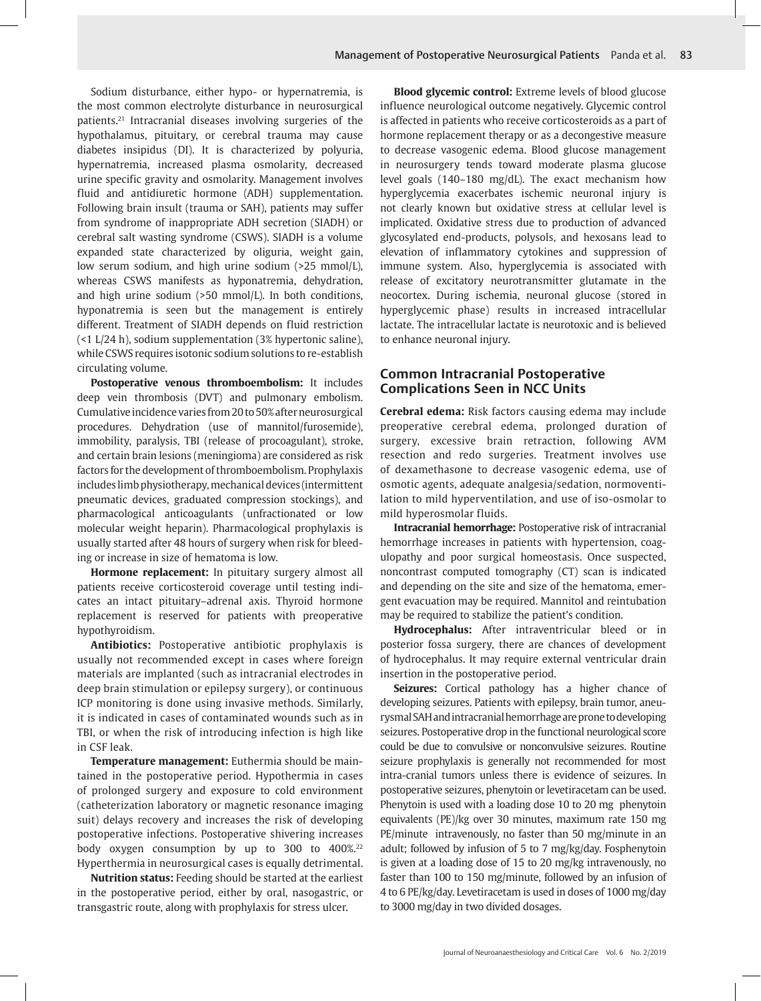<span id="page-3-0"></span>Sodium disturbance, either hypo- or hypernatremia, is the most common electrolyte disturbance in neurosurgical patients[.21](#page-6-19) Intracranial diseases involving surgeries of the hypothalamus, pituitary, or cerebral trauma may cause diabetes insipidus (DI). It is characterized by polyuria, hypernatremia, increased plasma osmolarity, decreased urine specific gravity and osmolarity. Management involves fluid and antidiuretic hormone (ADH) supplementation. Following brain insult (trauma or SAH), patients may suffer from syndrome of inappropriate ADH secretion (SIADH) or cerebral salt wasting syndrome (CSWS). SIADH is a volume expanded state characterized by oliguria, weight gain, low serum sodium, and high urine sodium (>25 mmol/L), whereas CSWS manifests as hyponatremia, dehydration, and high urine sodium (>50 mmol/L). In both conditions, hyponatremia is seen but the management is entirely different. Treatment of SIADH depends on fluid restriction (<1 L/24 h), sodium supplementation (3% hypertonic saline), while CSWS requires isotonic sodium solutions to re-establish circulating volume.

**Postoperative venous thromboembolism:** It includes deep vein thrombosis (DVT) and pulmonary embolism. Cumulative incidence varies from 20 to 50% after neurosurgical procedures. Dehydration (use of mannitol/furosemide), immobility, paralysis, TBI (release of procoagulant), stroke, and certain brain lesions (meningioma) are considered as risk factors for the development of thromboembolism. Prophylaxis includes limb physiotherapy, mechanical devices (intermittent pneumatic devices, graduated compression stockings), and pharmacological anticoagulants (unfractionated or low molecular weight heparin). Pharmacological prophylaxis is usually started after 48 hours of surgery when risk for bleeding or increase in size of hematoma is low.

**Hormone replacement:** In pituitary surgery almost all patients receive corticosteroid coverage until testing indicates an intact pituitary–adrenal axis. Thyroid hormone replacement is reserved for patients with preoperative hypothyroidism.

**Antibiotics:** Postoperative antibiotic prophylaxis is usually not recommended except in cases where foreign materials are implanted (such as intracranial electrodes in deep brain stimulation or epilepsy surgery), or continuous ICP monitoring is done using invasive methods. Similarly, it is indicated in cases of contaminated wounds such as in TBI, or when the risk of introducing infection is high like in CSF leak.

**Temperature management:** Euthermia should be maintained in the postoperative period. Hypothermia in cases of prolonged surgery and exposure to cold environment (catheterization laboratory or magnetic resonance imaging suit) delays recovery and increases the risk of developing postoperative infections. Postoperative shivering increases body oxygen consumption by up to 300 to 400%.<sup>[22](#page-6-20)</sup> Hyperthermia in neurosurgical cases is equally detrimental.

<span id="page-3-1"></span>**Nutrition status:** Feeding should be started at the earliest in the postoperative period, either by oral, nasogastric, or transgastric route, along with prophylaxis for stress ulcer.

**Blood glycemic control:** Extreme levels of blood glucose influence neurological outcome negatively. Glycemic control is affected in patients who receive corticosteroids as a part of hormone replacement therapy or as a decongestive measure to decrease vasogenic edema. Blood glucose management in neurosurgery tends toward moderate plasma glucose level goals (140–180 mg/dL). The exact mechanism how hyperglycemia exacerbates ischemic neuronal injury is not clearly known but oxidative stress at cellular level is implicated. Oxidative stress due to production of advanced glycosylated end-products, polysols, and hexosans lead to elevation of inflammatory cytokines and suppression of immune system. Also, hyperglycemia is associated with release of excitatory neurotransmitter glutamate in the neocortex. During ischemia, neuronal glucose (stored in hyperglycemic phase) results in increased intracellular lactate. The intracellular lactate is neurotoxic and is believed to enhance neuronal injury.

## **Common Intracranial Postoperative Complications Seen in NCC Units**

**Cerebral edema:** Risk factors causing edema may include preoperative cerebral edema, prolonged duration of surgery, excessive brain retraction, following AVM resection and redo surgeries. Treatment involves use of dexamethasone to decrease vasogenic edema, use of osmotic agents, adequate analgesia/sedation, normoventilation to mild hyperventilation, and use of iso-osmolar to mild hyperosmolar fluids.

**Intracranial hemorrhage:** Postoperative risk of intracranial hemorrhage increases in patients with hypertension, coagulopathy and poor surgical homeostasis. Once suspected, noncontrast computed tomography (CT) scan is indicated and depending on the site and size of the hematoma, emergent evacuation may be required. Mannitol and reintubation may be required to stabilize the patient's condition.

**Hydrocephalus:** After intraventricular bleed or in posterior fossa surgery, there are chances of development of hydrocephalus. It may require external ventricular drain insertion in the postoperative period.

**Seizures:** Cortical pathology has a higher chance of developing seizures. Patients with epilepsy, brain tumor, aneurysmal SAH and intracranial hemorrhage are prone to developing seizures. Postoperative drop in the functional neurological score could be due to convulsive or nonconvulsive seizures. Routine seizure prophylaxis is generally not recommended for most intra-cranial tumors unless there is evidence of seizures. In postoperative seizures, phenytoin or levetiracetam can be used. Phenytoin is used with a loading dose 10 to 20 mg phenytoin equivalents (PE)/kg over 30 minutes, maximum rate 150 mg PE/minute intravenously, no faster than 50 mg/minute in an adult; followed by infusion of 5 to 7 mg/kg/day. Fosphenytoin is given at a loading dose of 15 to 20 mg/kg intravenously, no faster than 100 to 150 mg/minute, followed by an infusion of 4 to 6 PE/kg/day. Levetiracetam is used in doses of 1000 mg/day to 3000 mg/day in two divided dosages.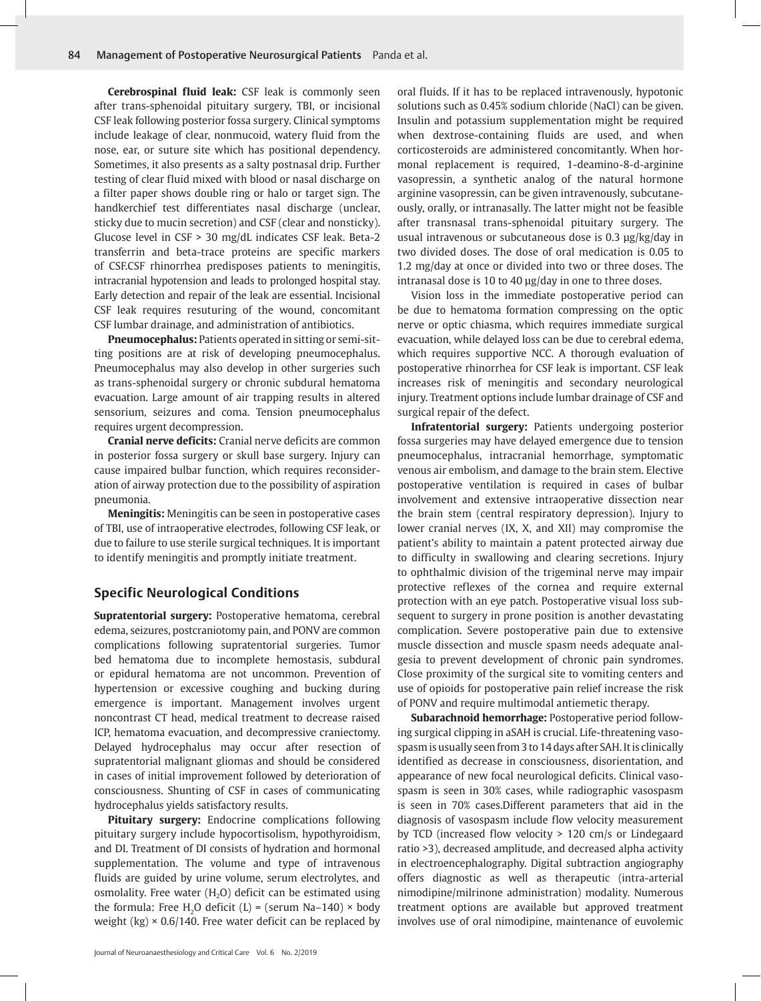**Cerebrospinal fluid leak:** CSF leak is commonly seen after trans-sphenoidal pituitary surgery, TBI, or incisional CSF leak following posterior fossa surgery. Clinical symptoms include leakage of clear, nonmucoid, watery fluid from the nose, ear, or suture site which has positional dependency. Sometimes, it also presents as a salty postnasal drip. Further testing of clear fluid mixed with blood or nasal discharge on a filter paper shows double ring or halo or target sign. The handkerchief test differentiates nasal discharge (unclear, sticky due to mucin secretion) and CSF (clear and nonsticky). Glucose level in CSF > 30 mg/dL indicates CSF leak. Beta-2 transferrin and beta-trace proteins are specific markers of CSF.CSF rhinorrhea predisposes patients to meningitis, intracranial hypotension and leads to prolonged hospital stay. Early detection and repair of the leak are essential. Incisional CSF leak requires resuturing of the wound, concomitant CSF lumbar drainage, and administration of antibiotics.

**Pneumocephalus:** Patients operated in sitting or semi-sitting positions are at risk of developing pneumocephalus. Pneumocephalus may also develop in other surgeries such as trans-sphenoidal surgery or chronic subdural hematoma evacuation. Large amount of air trapping results in altered sensorium, seizures and coma. Tension pneumocephalus requires urgent decompression.

**Cranial nerve deficits:** Cranial nerve deficits are common in posterior fossa surgery or skull base surgery. Injury can cause impaired bulbar function, which requires reconsideration of airway protection due to the possibility of aspiration pneumonia.

**Meningitis:** Meningitis can be seen in postoperative cases of TBI, use of intraoperative electrodes, following CSF leak, or due to failure to use sterile surgical techniques. It is important to identify meningitis and promptly initiate treatment.

## **Specific Neurological Conditions**

**Supratentorial surgery:** Postoperative hematoma, cerebral edema, seizures, postcraniotomy pain, and PONV are common complications following supratentorial surgeries. Tumor bed hematoma due to incomplete hemostasis, subdural or epidural hematoma are not uncommon. Prevention of hypertension or excessive coughing and bucking during emergence is important. Management involves urgent noncontrast CT head, medical treatment to decrease raised ICP, hematoma evacuation, and decompressive craniectomy. Delayed hydrocephalus may occur after resection of supratentorial malignant gliomas and should be considered in cases of initial improvement followed by deterioration of consciousness. Shunting of CSF in cases of communicating hydrocephalus yields satisfactory results.

**Pituitary surgery:** Endocrine complications following pituitary surgery include hypocortisolism, hypothyroidism, and DI. Treatment of DI consists of hydration and hormonal supplementation. The volume and type of intravenous fluids are guided by urine volume, serum electrolytes, and osmolality. Free water  $(H<sub>2</sub>O)$  deficit can be estimated using the formula: Free H<sub>2</sub>O deficit (L) = (serum Na–140) × body weight  $(kg) \times 0.6/140$ . Free water deficit can be replaced by

oral fluids. If it has to be replaced intravenously, hypotonic solutions such as 0.45% sodium chloride (NaCl) can be given. Insulin and potassium supplementation might be required when dextrose-containing fluids are used, and when corticosteroids are administered concomitantly. When hormonal replacement is required, 1-deamino-8-d-arginine vasopressin, a synthetic analog of the natural hormone arginine vasopressin, can be given intravenously, subcutaneously, orally, or intranasally. The latter might not be feasible after transnasal trans-sphenoidal pituitary surgery. The usual intravenous or subcutaneous dose is 0.3 µg/kg/day in two divided doses. The dose of oral medication is 0.05 to 1.2 mg/day at once or divided into two or three doses. The intranasal dose is 10 to 40 µg/day in one to three doses.

Vision loss in the immediate postoperative period can be due to hematoma formation compressing on the optic nerve or optic chiasma, which requires immediate surgical evacuation, while delayed loss can be due to cerebral edema, which requires supportive NCC. A thorough evaluation of postoperative rhinorrhea for CSF leak is important. CSF leak increases risk of meningitis and secondary neurological injury. Treatment options include lumbar drainage of CSF and surgical repair of the defect.

**Infratentorial surgery:** Patients undergoing posterior fossa surgeries may have delayed emergence due to tension pneumocephalus, intracranial hemorrhage, symptomatic venous air embolism, and damage to the brain stem. Elective postoperative ventilation is required in cases of bulbar involvement and extensive intraoperative dissection near the brain stem (central respiratory depression). Injury to lower cranial nerves (IX, X, and XII) may compromise the patient's ability to maintain a patent protected airway due to difficulty in swallowing and clearing secretions. Injury to ophthalmic division of the trigeminal nerve may impair protective reflexes of the cornea and require external protection with an eye patch. Postoperative visual loss subsequent to surgery in prone position is another devastating complication. Severe postoperative pain due to extensive muscle dissection and muscle spasm needs adequate analgesia to prevent development of chronic pain syndromes. Close proximity of the surgical site to vomiting centers and use of opioids for postoperative pain relief increase the risk of PONV and require multimodal antiemetic therapy.

**Subarachnoid hemorrhage:** Postoperative period following surgical clipping in aSAH is crucial. Life-threatening vasospasm is usually seen from 3 to 14 days after SAH. It is clinically identified as decrease in consciousness, disorientation, and appearance of new focal neurological deficits. Clinical vasospasm is seen in 30% cases, while radiographic vasospasm is seen in 70% cases.Different parameters that aid in the diagnosis of vasospasm include flow velocity measurement by TCD (increased flow velocity > 120 cm/s or Lindegaard ratio >3), decreased amplitude, and decreased alpha activity in electroencephalography. Digital subtraction angiography offers diagnostic as well as therapeutic (intra-arterial nimodipine/milrinone administration) modality. Numerous treatment options are available but approved treatment involves use of oral nimodipine, maintenance of euvolemic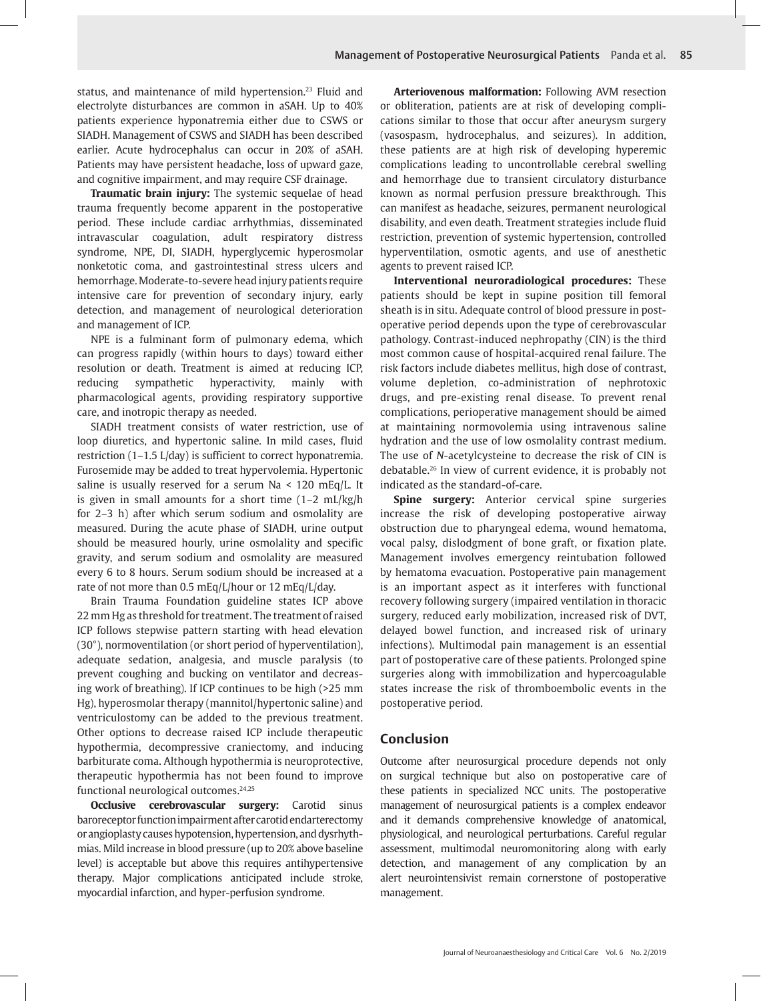<span id="page-5-0"></span>status, and maintenance of mild hypertension.<sup>23</sup> Fluid and electrolyte disturbances are common in aSAH. Up to 40% patients experience hyponatremia either due to CSWS or SIADH. Management of CSWS and SIADH has been described earlier. Acute hydrocephalus can occur in 20% of aSAH. Patients may have persistent headache, loss of upward gaze, and cognitive impairment, and may require CSF drainage.

**Traumatic brain injury:** The systemic sequelae of head trauma frequently become apparent in the postoperative period. These include cardiac arrhythmias, disseminated intravascular coagulation, adult respiratory distress syndrome, NPE, DI, SIADH, hyperglycemic hyperosmolar nonketotic coma, and gastrointestinal stress ulcers and hemorrhage. Moderate-to-severe head injury patients require intensive care for prevention of secondary injury, early detection, and management of neurological deterioration and management of ICP.

NPE is a fulminant form of pulmonary edema, which can progress rapidly (within hours to days) toward either resolution or death. Treatment is aimed at reducing ICP, reducing sympathetic hyperactivity, mainly with pharmacological agents, providing respiratory supportive care, and inotropic therapy as needed.

SIADH treatment consists of water restriction, use of loop diuretics, and hypertonic saline. In mild cases, fluid restriction (1–1.5 L/day) is sufficient to correct hyponatremia. Furosemide may be added to treat hypervolemia. Hypertonic saline is usually reserved for a serum Na < 120 mEq/L. It is given in small amounts for a short time (1–2 mL/kg/h for 2–3 h) after which serum sodium and osmolality are measured. During the acute phase of SIADH, urine output should be measured hourly, urine osmolality and specific gravity, and serum sodium and osmolality are measured every 6 to 8 hours. Serum sodium should be increased at a rate of not more than 0.5 mEq/L/hour or 12 mEq/L/day.

Brain Trauma Foundation guideline states ICP above 22 mm Hg as threshold for treatment. The treatment of raised ICP follows stepwise pattern starting with head elevation (30°), normoventilation (or short period of hyperventilation), adequate sedation, analgesia, and muscle paralysis (to prevent coughing and bucking on ventilator and decreasing work of breathing). If ICP continues to be high (>25 mm Hg), hyperosmolar therapy (mannitol/hypertonic saline) and ventriculostomy can be added to the previous treatment. Other options to decrease raised ICP include therapeutic hypothermia, decompressive craniectomy, and inducing barbiturate coma. Although hypothermia is neuroprotective, therapeutic hypothermia has not been found to improve functional neurological outcomes.[24](#page-6-22)[,25](#page-6-23)

<span id="page-5-1"></span>**Occlusive cerebrovascular surgery:** Carotid sinus baroreceptor function impairment after carotid endarterectomy or angioplasty causes hypotension, hypertension, and dysrhythmias. Mild increase in blood pressure (up to 20% above baseline level) is acceptable but above this requires antihypertensive therapy. Major complications anticipated include stroke, myocardial infarction, and hyper-perfusion syndrome.

**Arteriovenous malformation:** Following AVM resection or obliteration, patients are at risk of developing complications similar to those that occur after aneurysm surgery (vasospasm, hydrocephalus, and seizures). In addition, these patients are at high risk of developing hyperemic complications leading to uncontrollable cerebral swelling and hemorrhage due to transient circulatory disturbance known as normal perfusion pressure breakthrough. This can manifest as headache, seizures, permanent neurological disability, and even death. Treatment strategies include fluid restriction, prevention of systemic hypertension, controlled hyperventilation, osmotic agents, and use of anesthetic agents to prevent raised ICP.

**Interventional neuroradiological procedures:** These patients should be kept in supine position till femoral sheath is in situ. Adequate control of blood pressure in postoperative period depends upon the type of cerebrovascular pathology. Contrast-induced nephropathy (CIN) is the third most common cause of hospital-acquired renal failure. The risk factors include diabetes mellitus, high dose of contrast, volume depletion, co-administration of nephrotoxic drugs, and pre-existing renal disease. To prevent renal complications, perioperative management should be aimed at maintaining normovolemia using intravenous saline hydration and the use of low osmolality contrast medium. The use of *N*-acetylcysteine to decrease the risk of CIN is debatable.26 In view of current evidence, it is probably not indicated as the standard-of-care.

**Spine surgery:** Anterior cervical spine surgeries increase the risk of developing postoperative airway obstruction due to pharyngeal edema, wound hematoma, vocal palsy, dislodgment of bone graft, or fixation plate. Management involves emergency reintubation followed by hematoma evacuation. Postoperative pain management is an important aspect as it interferes with functional recovery following surgery (impaired ventilation in thoracic surgery, reduced early mobilization, increased risk of DVT, delayed bowel function, and increased risk of urinary infections). Multimodal pain management is an essential part of postoperative care of these patients. Prolonged spine surgeries along with immobilization and hypercoagulable states increase the risk of thromboembolic events in the postoperative period.

## **Conclusion**

<span id="page-5-2"></span>Outcome after neurosurgical procedure depends not only on surgical technique but also on postoperative care of these patients in specialized NCC units. The postoperative management of neurosurgical patients is a complex endeavor and it demands comprehensive knowledge of anatomical, physiological, and neurological perturbations. Careful regular assessment, multimodal neuromonitoring along with early detection, and management of any complication by an alert neurointensivist remain cornerstone of postoperative management.